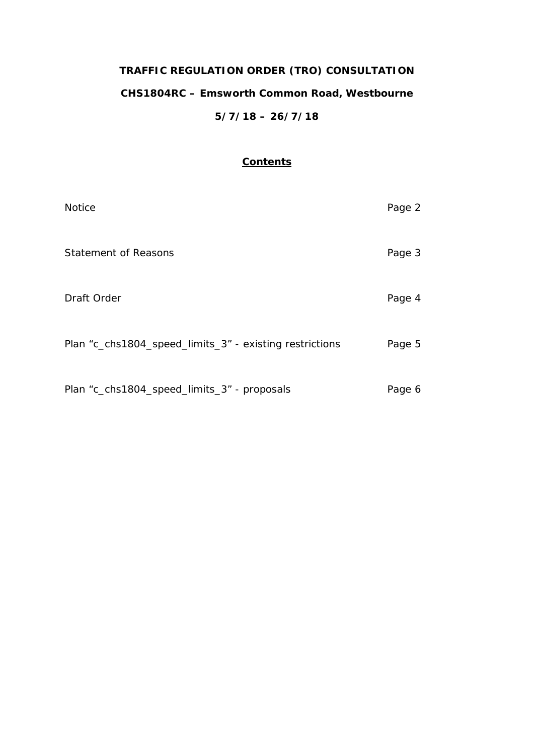# **TRAFFIC REGULATION ORDER (TRO) CONSULTATION CHS1804RC – Emsworth Common Road, Westbourne 5/7/18 – 26/7/18**

## **Contents**

| <b>Notice</b>                                           | Page 2 |
|---------------------------------------------------------|--------|
| <b>Statement of Reasons</b>                             | Page 3 |
| Draft Order                                             | Page 4 |
| Plan "c_chs1804_speed_limits_3" - existing restrictions | Page 5 |
| Plan "c_chs1804_speed_limits_3" - proposals             | Page 6 |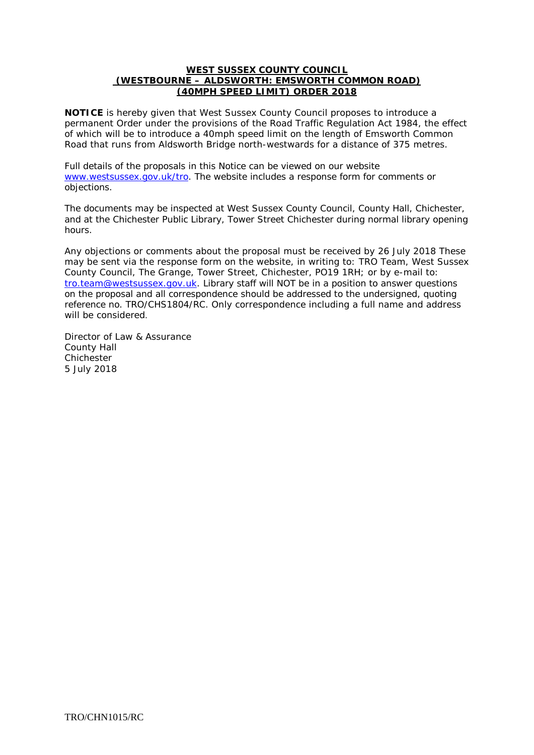#### **WEST SUSSEX COUNTY COUNCIL (WESTBOURNE – ALDSWORTH: EMSWORTH COMMON ROAD) (40MPH SPEED LIMIT) ORDER 2018**

**NOTICE** is hereby given that West Sussex County Council proposes to introduce a permanent Order under the provisions of the Road Traffic Regulation Act 1984, the effect of which will be to introduce a 40mph speed limit on the length of Emsworth Common Road that runs from Aldsworth Bridge north-westwards for a distance of 375 metres.

Full details of the proposals in this Notice can be viewed on our website [www.westsussex.gov.uk/tro.](http://www.westsussex.gov.uk/tro) The website includes a response form for comments or objections.

The documents may be inspected at West Sussex County Council, County Hall, Chichester, and at the Chichester Public Library, Tower Street Chichester during normal library opening hours.

Any objections or comments about the proposal must be received by 26 July 2018 These may be sent via the response form on the website, in writing to: TRO Team, West Sussex County Council, The Grange, Tower Street, Chichester, PO19 1RH; or by e-mail to: [tro.team@westsussex.gov.uk.](mailto:tro.team@westsussex.gov.uk) Library staff will NOT be in a position to answer questions on the proposal and all correspondence should be addressed to the undersigned, quoting reference no. TRO/CHS1804/RC. Only correspondence including a full name and address will be considered.

Director of Law & Assurance County Hall **Chichester** 5 July 2018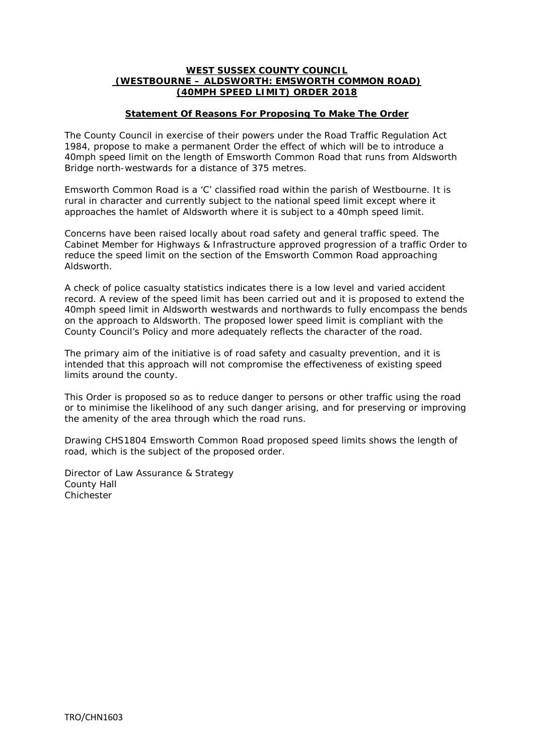#### **WEST SUSSEX COUNTY COUNCIL (WESTBOURNE – ALDSWORTH: EMSWORTH COMMON ROAD) (40MPH SPEED LIMIT) ORDER 2018**

### **Statement Of Reasons For Proposing To Make The Order**

The County Council in exercise of their powers under the Road Traffic Regulation Act 1984, propose to make a permanent Order the effect of which will be to introduce a 40mph speed limit on the length of Emsworth Common Road that runs from Aldsworth Bridge north-westwards for a distance of 375 metres.

Emsworth Common Road is a 'C' classified road within the parish of Westbourne. It is rural in character and currently subject to the national speed limit except where it approaches the hamlet of Aldsworth where it is subject to a 40mph speed limit.

Concerns have been raised locally about road safety and general traffic speed. The Cabinet Member for Highways & Infrastructure approved progression of a traffic Order to reduce the speed limit on the section of the Emsworth Common Road approaching Aldsworth.

A check of police casualty statistics indicates there is a low level and varied accident record. A review of the speed limit has been carried out and it is proposed to extend the 40mph speed limit in Aldsworth westwards and northwards to fully encompass the bends on the approach to Aldsworth. The proposed lower speed limit is compliant with the County Council's Policy and more adequately reflects the character of the road.

The primary aim of the initiative is of road safety and casualty prevention, and it is intended that this approach will not compromise the effectiveness of existing speed limits around the county.

This Order is proposed so as to reduce danger to persons or other traffic using the road or to minimise the likelihood of any such danger arising, and for preserving or improving the amenity of the area through which the road runs.

Drawing CHS1804 Emsworth Common Road proposed speed limits shows the length of road, which is the subject of the proposed order.

Director of Law Assurance & Strategy County Hall Chichester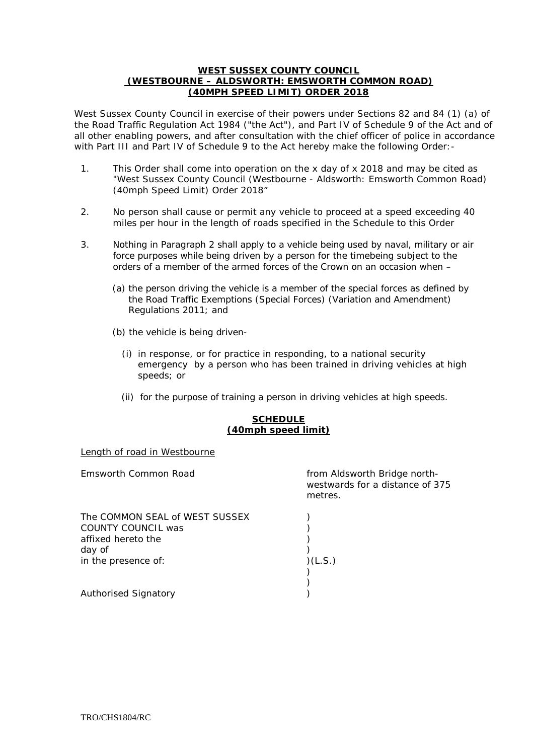#### **WEST SUSSEX COUNTY COUNCIL (WESTBOURNE – ALDSWORTH: EMSWORTH COMMON ROAD) (40MPH SPEED LIMIT) ORDER 2018**

West Sussex County Council in exercise of their powers under Sections 82 and 84 (1) (a) of the Road Traffic Regulation Act 1984 ("the Act"), and Part IV of Schedule 9 of the Act and of all other enabling powers, and after consultation with the chief officer of police in accordance with Part III and Part IV of Schedule 9 to the Act hereby make the following Order:-

- 1. This Order shall come into operation on the x day of x 2018 and may be cited as "West Sussex County Council (Westbourne - Aldsworth: Emsworth Common Road) (40mph Speed Limit) Order 2018"
- 2. No person shall cause or permit any vehicle to proceed at a speed exceeding 40 miles per hour in the length of roads specified in the Schedule to this Order
- 3. Nothing in Paragraph 2 shall apply to a vehicle being used by naval, military or air force purposes while being driven by a person for the timebeing subject to the orders of a member of the armed forces of the Crown on an occasion when –
	- (a) the person driving the vehicle is a member of the special forces as defined by the Road Traffic Exemptions (Special Forces) (Variation and Amendment) Regulations 2011; and
	- (b) the vehicle is being driven-
		- (i) in response, or for practice in responding, to a national security emergency by a person who has been trained in driving vehicles at high speeds; or
		- (ii) for the purpose of training a person in driving vehicles at high speeds.

#### **SCHEDULE (40mph speed limit)**

#### Length of road in Westbourne

| Emsworth Common Road                                                                 | from Aldsworth Bridge north-<br>westwards for a distance of 375<br>metres. |
|--------------------------------------------------------------------------------------|----------------------------------------------------------------------------|
| The COMMON SEAL of WEST SUSSEX<br>COUNTY COUNCIL was<br>affixed hereto the<br>day of |                                                                            |
| in the presence of:                                                                  | (L.S.)                                                                     |
| <b>Authorised Signatory</b>                                                          |                                                                            |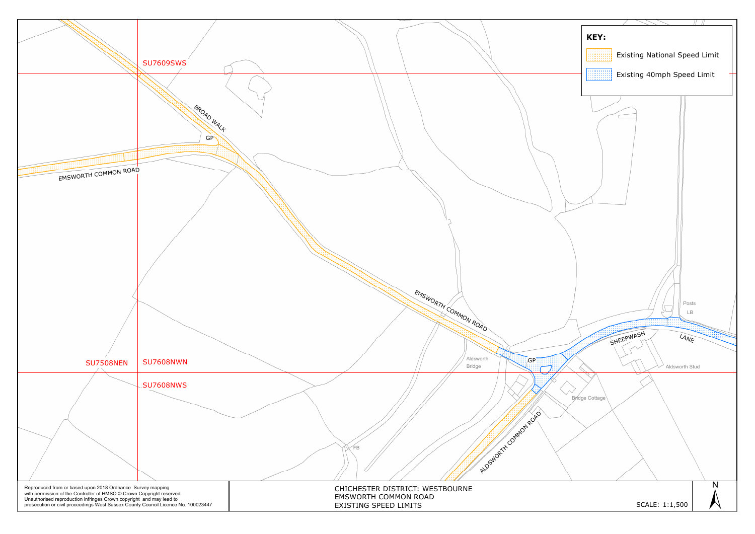